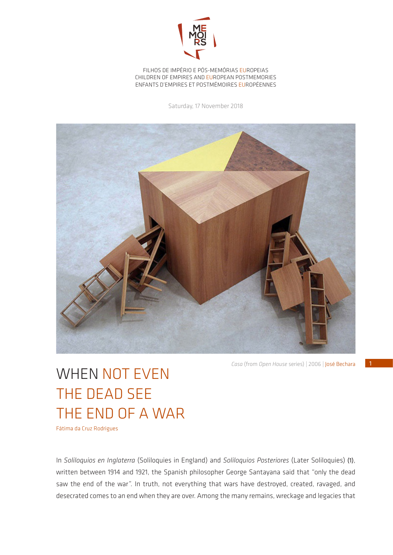

FILHOS DE IMPÉRIO E PÓS-MEMÓRIAS EUROPEIAS CHILDREN OF EMPIRES AND EUROPEAN POSTMEMORIES ENFANTS D'EMPIRES ET POSTMÉMOIRES EUROPÉENNES

Saturday, 17 November 2018



*Casa* (from *Open House* series) | 2006 | José Bechara

## WHEN NOT EVEN THE DEAD SEE THE END OF A WAR

Fátima da Cruz Rodrigues

In *Soliloquios en Inglaterra* (Soliloquies in England) and *Soliloquios Posteriores* (Later Soliloquies) (1), written between 1914 and 1921, the Spanish philosopher George Santayana said that "only the dead saw the end of the war". In truth, not everything that wars have destroyed, created, ravaged, and desecrated comes to an end when they are over. Among the many remains, wreckage and legacies that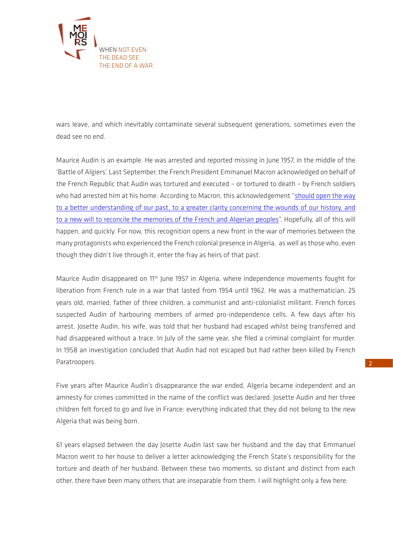

wars leave, and which inevitably contaminate several subsequent generations, sometimes even the dead see no end.

Maurice Audin is an example. He was arrested and reported missing in June 1957, in the middle of the 'Battle of Algiers'. Last September, the French President Emmanuel Macron acknowledged on behalf of the French Republic that Audin was tortured and executed – or tortured to death – by French soldiers who had arrested him at his home. According to Macron, this acknowledgement "[should open the way](http://www.regards.fr/IMG/pdf/la_declaration_du_president_de_la_republique._les_communiques_de_la_famille_et_des_associations_maurice_audin.pdf)  [to a better understanding of our past, to a greater clarity concerning the wounds of our history, and](http://www.regards.fr/IMG/pdf/la_declaration_du_president_de_la_republique._les_communiques_de_la_famille_et_des_associations_maurice_audin.pdf)  [to a new will to reconcile the memories of the French and Algerian peoples](http://www.regards.fr/IMG/pdf/la_declaration_du_president_de_la_republique._les_communiques_de_la_famille_et_des_associations_maurice_audin.pdf)". Hopefully, all of this will happen, and quickly. For now, this recognition opens a new front in the war of memories between the many protagonists who experienced the French colonial presence in Algeria, as well as those who, even though they didn't live through it, enter the fray as heirs of that past.

Maurice Audin disappeared on 11<sup>th</sup> June 1957 in Algeria, where independence movements fought for liberation from French rule in a war that lasted from 1954 until 1962. He was a mathematician, 25 years old, married, father of three children, a communist and anti-colonialist militant. French forces suspected Audin of harbouring members of armed pro-independence cells. A few days after his arrest, Josette Audin, his wife, was told that her husband had escaped whilst being transferred and had disappeared without a trace. In July of the same year, she filed a criminal complaint for murder. In 1958 an investigation concluded that Audin had not escaped but had rather been killed by French Paratroopers.

Five years after Maurice Audin's disappearance the war ended, Algeria became independent and an amnesty for crimes committed in the name of the conflict was declared. Josette Audin and her three children felt forced to go and live in France: everything indicated that they did not belong to the new Algeria that was being born.

61 years elapsed between the day Josette Audin last saw her husband and the day that Emmanuel Macron went to her house to deliver a letter acknowledging the French State's responsibility for the torture and death of her husband. Between these two moments, so distant and distinct from each other, there have been many others that are inseparable from them. I will highlight only a few here: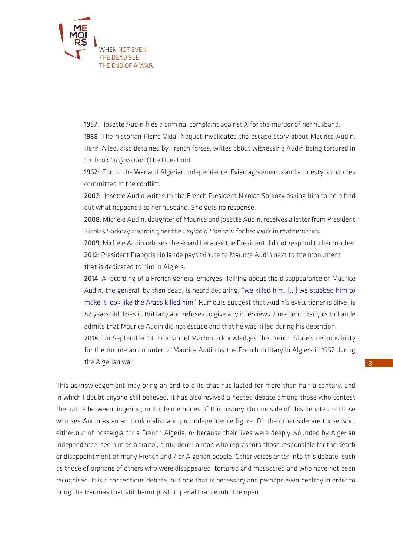

1957: Josette Audin files a criminal complaint against X for the murder of her husband. 1958: The historian Pierre Vidal-Naquet invalidates the escape story about Maurice Audin. Henri Alleg, also detained by French forces, writes about witnessing Audin being tortured in his book *La Question* (The Question).

1962: End of the War and Algerian independence; Evian agreements and amnesty for crimes committed in the conflict.

2007: Josette Audin writes to the French President Nicolas Sarkozy asking him to help find out what happened to her husband. She gets no response.

2008: Michèle Audin, daughter of Maurice and Josette Audin, receives a letter from President Nicolas Sarkozy awarding her the *Legion d'Honneur* for her work in mathematics.

2009: Michèle Audin refuses the award because the President did not respond to her mother. 2012: President François Hollande pays tribute to Maurice Audin next to the monument that is dedicated to him in Algiers.

2014: A recording of a French general emerges. Talking about the disappearance of Maurice Audin, the general, by then dead, is heard declaring: "we killed him. [...] we stabbed him to [make it look like the Arabs killed him](https://www.lepoint.fr/histoire/qui-a-tue-maurice-audin-13-09-2018-2250985_1615.php)". Rumours suggest that Audin's executioner is alive, is 82 years old, lives in Brittany and refuses to give any interviews. President François Hollande admits that Maurice Audin did not escape and that he was killed during his detention.

2018: On September 13, Emmanuel Macron acknowledges the French State's responsibility for the torture and murder of Maurice Audin by the French military in Algiers in 1957 during the Algerian war.

This acknowledgement may bring an end to a lie that has lasted for more than half a century, and in which I doubt anyone still believed. It has also revived a heated debate among those who contest the battle between lingering, multiple memories of this history. On one side of this debate are those who see Audin as an anti-colonialist and pro-independence figure. On the other side are those who, either out of nostalgia for a French Algeria, or because their lives were deeply wounded by Algerian independence, see him as a traitor, a murderer, a man who represents those responsible for the death or disappointment of many French and / or Algerian people. Other voices enter into this debate, such as those of orphans of others who were disappeared, tortured and massacred and who have not been recognised. It is a contentious debate, but one that is necessary and perhaps even healthy in order to bring the traumas that still haunt post-imperial France into the open.